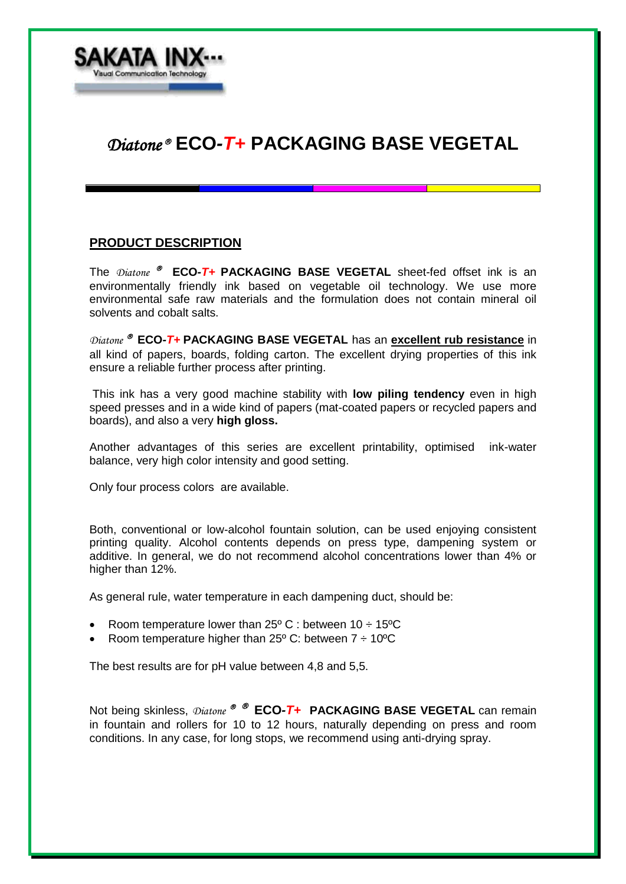

# *Diatone* **ECO***-T+* **PACKAGING BASE VEGETAL**

#### **PRODUCT DESCRIPTION**

The *Diatone* **<sup>®</sup>** ECO-T+ PACKAGING BASE VEGETAL sheet-fed offset ink is an environmentally friendly ink based on vegetable oil technology. We use more environmental safe raw materials and the formulation does not contain mineral oil solvents and cobalt salts.

*Diatone* **ECO***-T+* **PACKAGING BASE VEGETAL** has an **excellent rub resistance** in all kind of papers, boards, folding carton. The excellent drying properties of this ink ensure a reliable further process after printing.

This ink has a very good machine stability with **low piling tendency** even in high speed presses and in a wide kind of papers (mat-coated papers or recycled papers and boards), and also a very **high gloss.**

Another advantages of this series are excellent printability, optimised ink-water balance, very high color intensity and good setting.

Only four process colors are available.

Both, conventional or low-alcohol fountain solution, can be used enjoying consistent printing quality. Alcohol contents depends on press type, dampening system or additive. In general, we do not recommend alcohol concentrations lower than 4% or higher than 12%.

As general rule, water temperature in each dampening duct, should be:

- Room temperature lower than  $25^{\circ}$  C : between 10  $\div$  15<sup>o</sup>C
- Room temperature higher than 25 $\degree$  C: between 7  $\div$  10 $\degree$ C

The best results are for pH value between 4,8 and 5,5.

Not being skinless,  $\text{Distance} \, \otimes \, \mathcal{B}$  **ECO-T+ PACKAGING BASE VEGETAL** can remain in fountain and rollers for 10 to 12 hours, naturally depending on press and room conditions. In any case, for long stops, we recommend using anti-drying spray.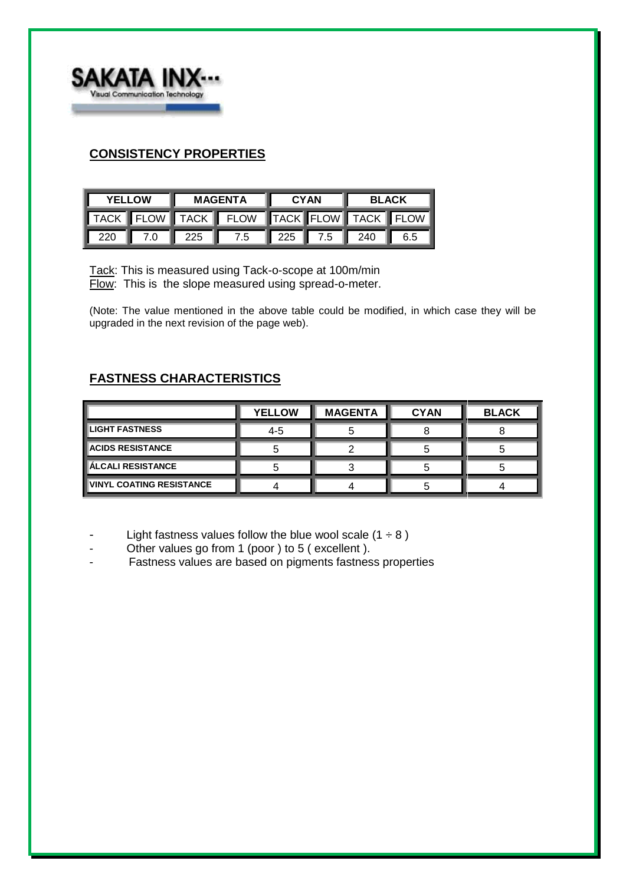

## **CONSISTENCY PROPERTIES**

| <b>YELLOW</b> |     | <b>MAGENTA</b>     |                                         | <b>CYAN</b> |  | <b>BLACK</b>                |  |
|---------------|-----|--------------------|-----------------------------------------|-------------|--|-----------------------------|--|
|               |     |                    | TACK FLOW TACK FLOW TACK FLOW TACK FLOW |             |  |                             |  |
| 220           | 7.0 | $\blacksquare$ 225 | 7.5                                     |             |  | $\parallel$ 225 7.5 240 6.5 |  |

Tack: This is measured using Tack-o-scope at 100m/min Flow: This is the slope measured using spread-o-meter.

(Note: The value mentioned in the above table could be modified, in which case they will be upgraded in the next revision of the page web).

# **FASTNESS CHARACTERISTICS**

|                                 | <b>YELLOW</b> | <b>MAGENTA</b> | <b>CYAN</b> | <b>BLACK</b> |
|---------------------------------|---------------|----------------|-------------|--------------|
| <b>LIGHT FASTNESS</b>           | 4-5           |                |             |              |
| <b>ACIDS RESISTANCE</b>         |               |                |             |              |
| <b>ÍÁLCALI RESISTANCE</b>       |               |                |             |              |
| <b>VINYL COATING RESISTANCE</b> |               |                |             |              |

- Light fastness values follow the blue wool scale  $(1 \div 8)$
- Other values go from 1 (poor ) to 5 ( excellent ).
- Fastness values are based on pigments fastness properties